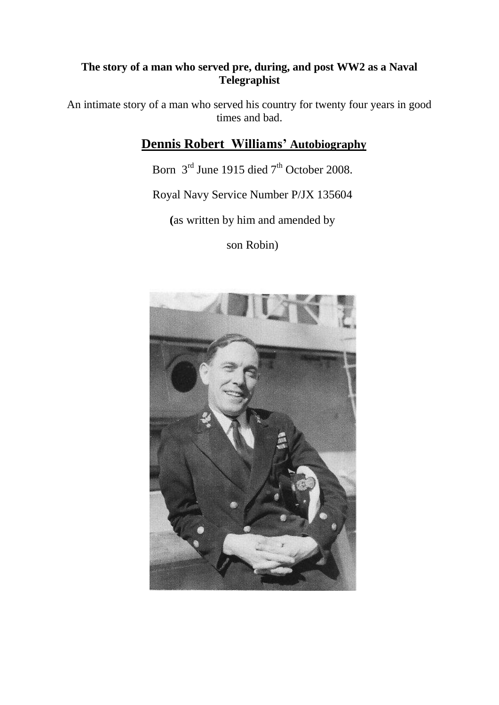## **The story of a man who served pre, during, and post WW2 as a Naval Telegraphist**

An intimate story of a man who served his country for twenty four years in good times and bad.

# **Dennis Robert Williams' Autobiography**

Born  $3<sup>rd</sup>$  June 1915 died  $7<sup>th</sup>$  October 2008.

Royal Navy Service Number P/JX 135604

**(**as written by him and amended by

son Robin)

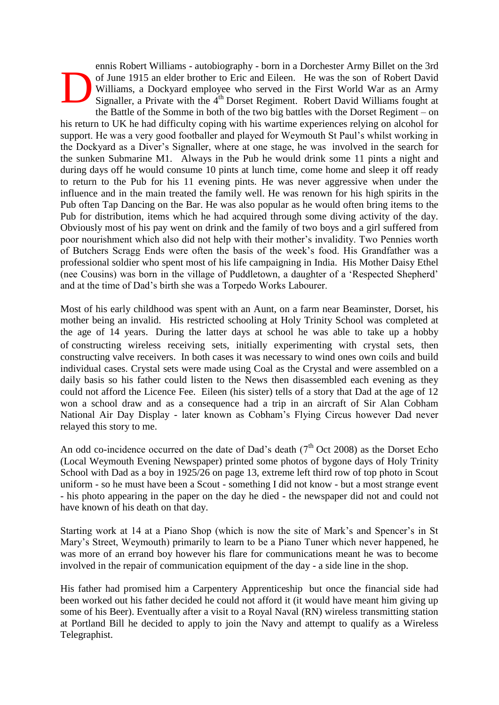ennis Robert Williams - autobiography - born in a Dorchester Army Billet on the 3rd of June 1915 an elder brother to Eric and Eileen. He was the son of Robert David Williams, a Dockyard employee who served in the First World War as an Army Signaller, a Private with the 4<sup>th</sup> Dorset Regiment. Robert David Williams fought at D

the Battle of the Somme in both of the two big battles with the Dorset Regiment – on his return to UK he had difficulty coping with his wartime experiences relying on alcohol for support. He was a very good footballer and played for Weymouth St Paul's whilst working in the Dockyard as a Diver's Signaller, where at one stage, he was involved in the search for the sunken Submarine M1. Always in the Pub he would drink some 11 pints a night and during days off he would consume 10 pints at lunch time, come home and sleep it off ready to return to the Pub for his 11 evening pints. He was never aggressive when under the influence and in the main treated the family well. He was renown for his high spirits in the Pub often Tap Dancing on the Bar. He was also popular as he would often bring items to the Pub for distribution, items which he had acquired through some diving activity of the day. Obviously most of his pay went on drink and the family of two boys and a girl suffered from poor nourishment which also did not help with their mother's invalidity. Two Pennies worth of Butchers Scragg Ends were often the basis of the week's food. His Grandfather was a professional soldier who spent most of his life campaigning in India. His Mother Daisy Ethel (nee Cousins) was born in the village of Puddletown, a daughter of a 'Respected Shepherd' and at the time of Dad's birth she was a Torpedo Works Labourer.

Most of his early childhood was spent with an Aunt, on a farm near Beaminster, Dorset, his mother being an invalid. His restricted schooling at Holy Trinity School was completed at the age of 14 years. During the latter days at school he was able to take up a hobby of constructing wireless receiving sets, initially experimenting with crystal sets, then constructing valve receivers. In both cases it was necessary to wind ones own coils and build individual cases. Crystal sets were made using Coal as the Crystal and were assembled on a daily basis so his father could listen to the News then disassembled each evening as they could not afford the Licence Fee. Eileen (his sister) tells of a story that Dad at the age of 12 won a school draw and as a consequence had a trip in an aircraft of Sir Alan Cobham National Air Day Display - later known as Cobham's Flying Circus however Dad never relayed this story to me.

An odd co-incidence occurred on the date of Dad's death ( $7<sup>th</sup>$  Oct 2008) as the Dorset Echo (Local Weymouth Evening Newspaper) printed some photos of bygone days of Holy Trinity School with Dad as a boy in 1925/26 on page 13, extreme left third row of top photo in Scout uniform - so he must have been a Scout - something I did not know - but a most strange event - his photo appearing in the paper on the day he died - the newspaper did not and could not have known of his death on that day.

Starting work at 14 at a Piano Shop (which is now the site of Mark's and Spencer's in St Mary's Street, Weymouth) primarily to learn to be a Piano Tuner which never happened, he was more of an errand boy however his flare for communications meant he was to become involved in the repair of communication equipment of the day - a side line in the shop.

His father had promised him a Carpentery Apprenticeship but once the financial side had been worked out his father decided he could not afford it (it would have meant him giving up some of his Beer). Eventually after a visit to a Royal Naval (RN) wireless transmitting station at Portland Bill he decided to apply to join the Navy and attempt to qualify as a Wireless Telegraphist.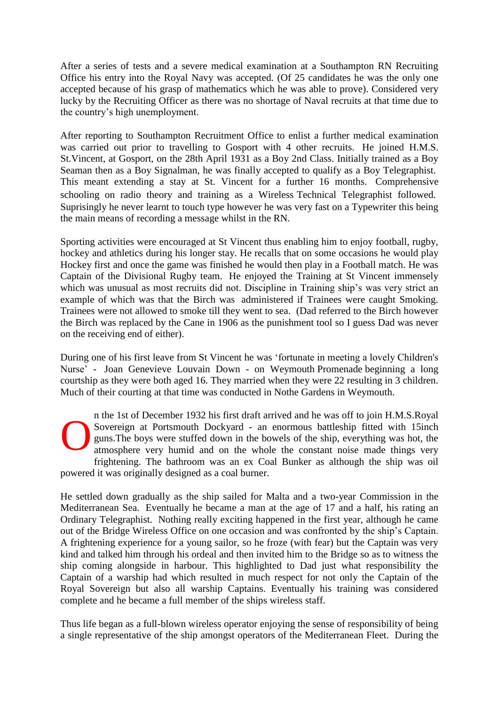After a series of tests and a severe medical examination at a Southampton RN Recruiting Office his entry into the Royal Navy was accepted. (Of 25 candidates he was the only one accepted because of his grasp of mathematics which he was able to prove). Considered very lucky by the Recruiting Officer as there was no shortage of Naval recruits at that time due to the country's high unemployment.

After reporting to Southampton Recruitment Office to enlist a further medical examination was carried out prior to travelling to Gosport with 4 other recruits. He joined H.M.S. St.Vincent, at Gosport, on the 28th April 1931 as a Boy 2nd Class. Initially trained as a Boy Seaman then as a Boy Signalman, he was finally accepted to qualify as a Boy Telegraphist. This meant extending a stay at St. Vincent for a further 16 months. Comprehensive schooling on radio theory and training as a Wireless Technical Telegraphist followed. Suprisingly he never learnt to touch type however he was very fast on a Typewriter this being the main means of recording a message whilst in the RN.

Sporting activities were encouraged at St Vincent thus enabling him to enjoy football, rugby, hockey and athletics during his longer stay. He recalls that on some occasions he would play Hockey first and once the game was finished he would then play in a Football match. He was Captain of the Divisional Rugby team. He enjoyed the Training at St Vincent immensely which was unusual as most recruits did not. Discipline in Training ship's was very strict an example of which was that the Birch was administered if Trainees were caught Smoking. Trainees were not allowed to smoke till they went to sea. (Dad referred to the Birch however the Birch was replaced by the Cane in 1906 as the punishment tool so I guess Dad was never on the receiving end of either).

During one of his first leave from St Vincent he was 'fortunate in meeting a lovely Children's Nurse' - Joan Genevieve Louvain Down - on Weymouth Promenade beginning a long courtship as they were both aged 16. They married when they were 22 resulting in 3 children. Much of their courting at that time was conducted in Nothe Gardens in Weymouth.

n the 1st of December 1932 his first draft arrived and he was off to join H.M.S.Royal Sovereign at Portsmouth Dockyard - an enormous battleship fitted with 15inch guns.The boys were stuffed down in the bowels of the ship, everything was hot, the atmosphere very humid and on the whole the constant noise made things very frightening. The bathroom was an ex Coal Bunker as although the ship was oil powered it was originally designed as a coal burner. O

He settled down gradually as the ship sailed for Malta and a two-year Commission in the Mediterranean Sea. Eventually he became a man at the age of 17 and a half, his rating an Ordinary Telegraphist. Nothing really exciting happened in the first year, although he came out of the Bridge Wireless Office on one occasion and was confronted by the ship's Captain. A frightening experience for a young sailor, so he froze (with fear) but the Captain was very kind and talked him through his ordeal and then invited him to the Bridge so as to witness the ship coming alongside in harbour. This highlighted to Dad just what responsibility the Captain of a warship had which resulted in much respect for not only the Captain of the Royal Sovereign but also all warship Captains. Eventually his training was considered complete and he became a full member of the ships wireless staff.

Thus life began as a full-blown wireless operator enjoying the sense of responsibility of being a single representative of the ship amongst operators of the Mediterranean Fleet. During the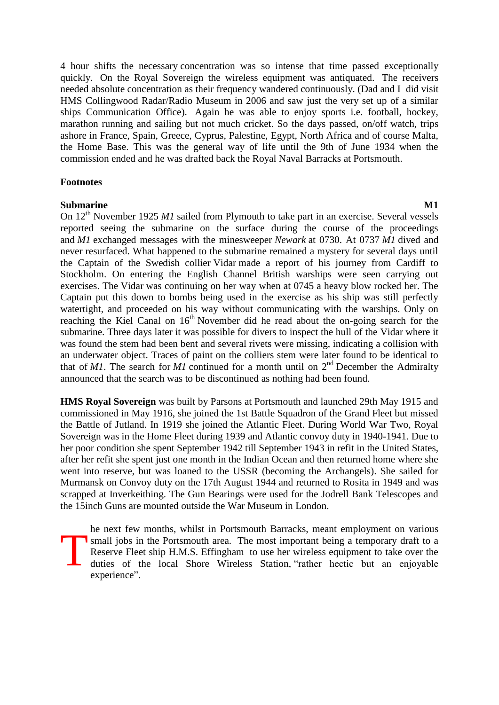4 hour shifts the necessary concentration was so intense that time passed exceptionally quickly. On the Royal Sovereign the wireless equipment was antiquated. The receivers needed absolute concentration as their frequency wandered continuously. (Dad and I did visit HMS Collingwood Radar/Radio Museum in 2006 and saw just the very set up of a similar ships Communication Office). Again he was able to enjoy sports i.e. football, hockey, marathon running and sailing but not much cricket. So the days passed, on/off watch, trips ashore in France, Spain, Greece, Cyprus, Palestine, Egypt, North Africa and of course Malta, the Home Base. This was the general way of life until the 9th of June 1934 when the commission ended and he was drafted back the Royal Naval Barracks at Portsmouth.

#### **Footnotes**

#### **Submarine M1**

On 12<sup>th</sup> November 1925 *M1* sailed from Plymouth to take part in an exercise. Several vessels reported seeing the submarine on the surface during the course of the proceedings and *M1* exchanged messages with the minesweeper *Newark* at 0730. At 0737 *M1* dived and never resurfaced. What happened to the submarine remained a mystery for several days until the Captain of the Swedish collier Vidar made a report of his journey from Cardiff to Stockholm. On entering the English Channel British warships were seen carrying out exercises. The Vidar was continuing on her way when at 0745 a heavy blow rocked her. The Captain put this down to bombs being used in the exercise as his ship was still perfectly watertight, and proceeded on his way without communicating with the warships. Only on reaching the Kiel Canal on  $16<sup>th</sup>$  November did he read about the on-going search for the submarine. Three days later it was possible for divers to inspect the hull of the Vidar where it was found the stem had been bent and several rivets were missing, indicating a collision with an underwater object. Traces of paint on the colliers stem were later found to be identical to that of *M1*. The search for *M1* continued for a month until on  $2<sup>nd</sup>$  December the Admiralty announced that the search was to be discontinued as nothing had been found.

**HMS Royal Sovereign** was built by Parsons at Portsmouth and launched 29th May 1915 and commissioned in May 1916, she joined the 1st Battle Squadron of the Grand Fleet but missed the Battle of Jutland. In 1919 she joined the Atlantic Fleet. During World War Two, Royal Sovereign was in the Home Fleet during 1939 and Atlantic convoy duty in 1940-1941. Due to her poor condition she spent September 1942 till September 1943 in refit in the United States, after her refit she spent just one month in the Indian Ocean and then returned home where she went into reserve, but was loaned to the USSR (becoming the Archangels). She sailed for Murmansk on Convoy duty on the 17th August 1944 and returned to Rosita in 1949 and was scrapped at Inverkeithing. The Gun Bearings were used for the Jodrell Bank Telescopes and the 15inch Guns are mounted outside the War Museum in London.

he next few months, whilst in Portsmouth Barracks, meant employment on various small jobs in the Portsmouth area. The most important being a temporary draft to a Reserve Fleet ship H.M.S. Effingham to use her wireless equipment to take over the duties of the local Shore Wireless Station, "rather hectic but an enjoyable experience".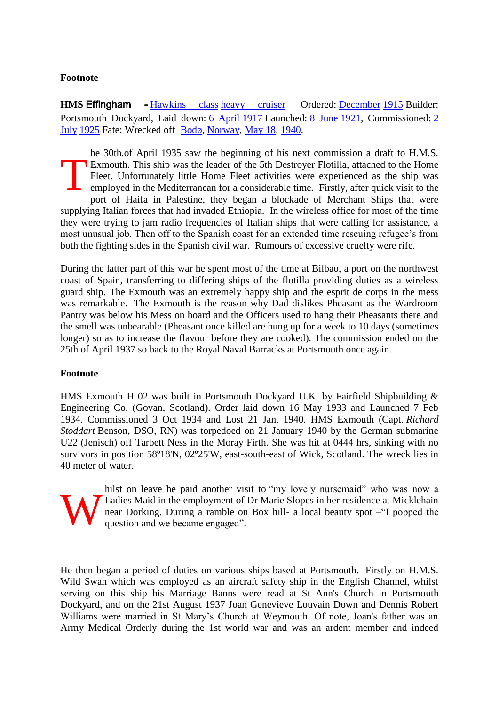### **Footnote**

**HMS** Effingham - [Hawkins class](http://www.godfreydykes.info/wiki/Hawkins_class_cruiser) [heavy cruiser](http://www.godfreydykes.info/wiki/Heavy_cruiser) Ordered: [December](http://www.godfreydykes.info/wiki/December) [1915](http://www.godfreydykes.info/wiki/1915) Builder: Portsmouth Dockyard, Laid down: [6 April](http://www.godfreydykes.info/wiki/April_6) [1917](http://www.godfreydykes.info/wiki/1917) Launched: [8 June](http://www.godfreydykes.info/wiki/June_8) [1921,](http://www.godfreydykes.info/wiki/1921) Commissioned: 2 [July](http://www.godfreydykes.info/wiki/July_2) [1925](http://www.godfreydykes.info/wiki/1925) Fate: Wrecked off [Bodø,](http://www.godfreydykes.info/wiki/Bod%25C3%25B8) [Norway,](http://www.godfreydykes.info/wiki/Norway) [May 18,](http://www.godfreydykes.info/wiki/May_18) [1940.](http://www.godfreydykes.info/wiki/1940)

he 30th.of April 1935 saw the beginning of his next commission a draft to H.M.S. Exmouth. This ship was the leader of the 5th Destroyer Flotilla, attached to the Home Fleet. Unfortunately little Home Fleet activities were experienced as the ship was employed in the Mediterranean for a considerable time. Firstly, after quick visit to the port of Haifa in Palestine, they began a blockade of Merchant Ships that were supplying Italian forces that had invaded Ethiopia. In the wireless office for most of the time they were trying to jam radio frequencies of Italian ships that were calling for assistance, a most unusual job. Then off to the Spanish coast for an extended time rescuing refugee's from both the fighting sides in the Spanish civil war. Rumours of excessive cruelty were rife. T

During the latter part of this war he spent most of the time at Bilbao, a port on the northwest coast of Spain, transferring to differing ships of the flotilla providing duties as a wireless guard ship. The Exmouth was an extremely happy ship and the esprit de corps in the mess was remarkable. The Exmouth is the reason why Dad dislikes Pheasant as the Wardroom Pantry was below his Mess on board and the Officers used to hang their Pheasants there and the smell was unbearable (Pheasant once killed are hung up for a week to 10 days (sometimes longer) so as to increase the flavour before they are cooked). The commission ended on the 25th of April 1937 so back to the Royal Naval Barracks at Portsmouth once again.

#### **Footnote**

HMS Exmouth H 02 was built in Portsmouth Dockyard U.K. by Fairfield Shipbuilding & Engineering Co. (Govan, Scotland). Order laid down 16 May 1933 and Launched 7 Feb 1934. Commissioned 3 Oct 1934 and Lost 21 Jan, 1940. HMS Exmouth (Capt. *Richard Stoddart* Benson, DSO, RN) was torpedoed on 21 January 1940 by the German submarine U22 (Jenisch) off Tarbett Ness in the Moray Firth. She was hit at 0444 hrs, sinking with no survivors in position 58º18'N, 02º25'W, east-south-east of Wick, Scotland. The wreck lies in 40 meter of water.



hilst on leave he paid another visit to "my lovely nursemaid" who was now a Ladies Maid in the employment of Dr Marie Slopes in her residence at Micklehain near Dorking. During a ramble on Box hill- a local beauty spot –"I popped the question and we became engaged".

He then began a period of duties on various ships based at Portsmouth. Firstly on H.M.S. Wild Swan which was employed as an aircraft safety ship in the English Channel, whilst serving on this ship his Marriage Banns were read at St Ann's Church in Portsmouth Dockyard, and on the 21st August 1937 Joan Genevieve Louvain Down and Dennis Robert Williams were married in St Mary's Church at Weymouth. Of note, Joan's father was an Army Medical Orderly during the 1st world war and was an ardent member and indeed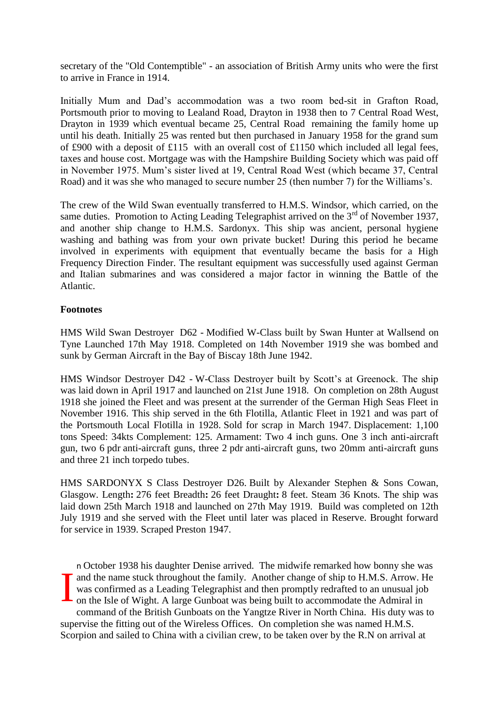secretary of the "Old Contemptible" - an association of British Army units who were the first to arrive in France in 1914.

Initially Mum and Dad's accommodation was a two room bed-sit in Grafton Road, Portsmouth prior to moving to Lealand Road, Drayton in 1938 then to 7 Central Road West, Drayton in 1939 which eventual became 25, Central Road remaining the family home up until his death. Initially 25 was rented but then purchased in January 1958 for the grand sum of £900 with a deposit of £115 with an overall cost of £1150 which included all legal fees, taxes and house cost. Mortgage was with the Hampshire Building Society which was paid off in November 1975. Mum's sister lived at 19, Central Road West (which became 37, Central Road) and it was she who managed to secure number 25 (then number 7) for the Williams's.

The crew of the Wild Swan eventually transferred to H.M.S. Windsor, which carried, on the same duties. Promotion to Acting Leading Telegraphist arrived on the  $3<sup>rd</sup>$  of November 1937, and another ship change to H.M.S. Sardonyx. This ship was ancient, personal hygiene washing and bathing was from your own private bucket! During this period he became involved in experiments with equipment that eventually became the basis for a High Frequency Direction Finder. The resultant equipment was successfully used against German and Italian submarines and was considered a major factor in winning the Battle of the Atlantic.

### **Footnotes**

HMS Wild Swan Destroyer D62 - Modified W-Class built by Swan Hunter at Wallsend on Tyne Launched 17th May 1918. Completed on 14th November 1919 she was bombed and sunk by German Aircraft in the Bay of Biscay 18th June 1942.

HMS Windsor Destroyer D42 - W-Class Destroyer built by Scott's at Greenock. The ship was laid down in April 1917 and launched on 21st June 1918. On completion on 28th August 1918 she joined the Fleet and was present at the surrender of the German High Seas Fleet in November 1916. This ship served in the 6th Flotilla, Atlantic Fleet in 1921 and was part of the Portsmouth Local Flotilla in 1928. Sold for scrap in March 1947. Displacement: 1,100 tons Speed: 34kts Complement: 125. Armament: Two 4 inch guns. One 3 inch anti-aircraft gun, two 6 pdr anti-aircraft guns, three 2 pdr anti-aircraft guns, two 20mm anti-aircraft guns and three 21 inch torpedo tubes.

HMS SARDONYX S Class Destroyer D26. Built by Alexander Stephen & Sons Cowan, Glasgow. Length**:** 276 feet Breadth**:** 26 feet Draught**:** 8 feet. Steam 36 Knots. The ship was laid down 25th March 1918 and launched on 27th May 1919. Build was completed on 12th July 1919 and she served with the Fleet until later was placed in Reserve. Brought forward for service in 1939. Scraped Preston 1947.

n October 1938 his daughter Denise arrived. The midwife remarked how bonny she was and the name stuck throughout the family. Another change of ship to H.M.S. Arrow. He was confirmed as a Leading Telegraphist and then promptly redrafted to an unusual job on the Isle of Wight. A large Gunboat was being bui was confirmed as a Leading Telegraphist and then promptly redrafted to an unusual job on the Isle of Wight. A large Gunboat was being built to accommodate the Admiral in command of the British Gunboats on the Yangtze River in North China. His duty was to supervise the fitting out of the Wireless Offices. On completion she was named H.M.S. Scorpion and sailed to China with a civilian crew, to be taken over by the R.N on arrival at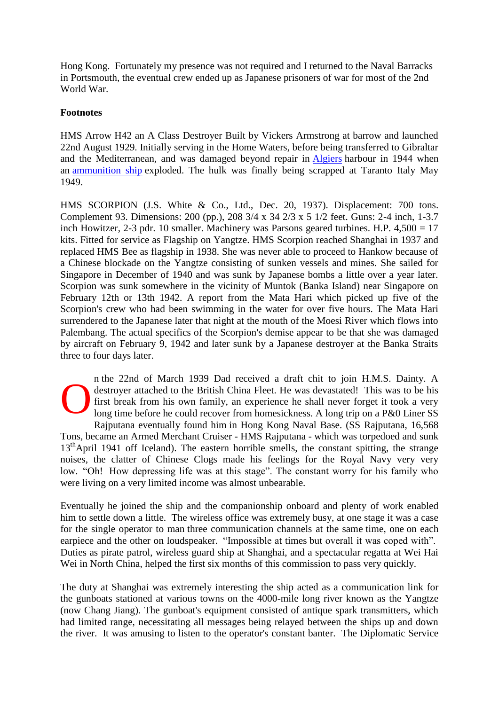Hong Kong. Fortunately my presence was not required and I returned to the Naval Barracks in Portsmouth, the eventual crew ended up as Japanese prisoners of war for most of the 2nd World War.

#### **Footnotes**

HMS Arrow H42 an A Class Destroyer Built by Vickers Armstrong at barrow and launched 22nd August 1929. Initially serving in the Home Waters, before being transferred to Gibraltar and the Mediterranean, and was damaged beyond repair in [Algiers](http://www.godfreydykes.info/wiki/Algiers) harbour in 1944 when an [ammunition ship](http://www.godfreydykes.info/wiki/Ammunition_ship) exploded. The hulk was finally being scrapped at Taranto Italy May 1949.

HMS SCORPION (J.S. White & Co., Ltd., Dec. 20, 1937). Displacement: 700 tons. Complement 93. Dimensions: 200 (pp.), 208 3/4 x 34 2/3 x 5 1/2 feet. Guns: 2-4 inch, 1-3.7 inch Howitzer, 2-3 pdr. 10 smaller. Machinery was Parsons geared turbines. H.P. 4,500 = 17 kits. Fitted for service as Flagship on Yangtze. HMS Scorpion reached Shanghai in 1937 and replaced HMS Bee as flagship in 1938. She was never able to proceed to Hankow because of a Chinese blockade on the Yangtze consisting of sunken vessels and mines. She sailed for Singapore in December of 1940 and was sunk by Japanese bombs a little over a year later. Scorpion was sunk somewhere in the vicinity of Muntok (Banka Island) near Singapore on February 12th or 13th 1942. A report from the Mata Hari which picked up five of the Scorpion's crew who had been swimming in the water for over five hours. The Mata Hari surrendered to the Japanese later that night at the mouth of the Moesi River which flows into Palembang. The actual specifics of the Scorpion's demise appear to be that she was damaged by aircraft on February 9, 1942 and later sunk by a Japanese destroyer at the Banka Straits three to four days later.

n the 22nd of March 1939 Dad received a draft chit to join H.M.S. Dainty. A destroyer attached to the British China Fleet. He was devastated! This was to be his first break from his own family, an experience he shall never forget it took a very long time before he could recover from homesickness. A long trip on a P&0 Liner SS Rajputana eventually found him in Hong Kong Naval Base. (SS Rajputana, 16,568 Tons, became an Armed Merchant Cruiser - HMS Rajputana - which was torpedoed and sunk  $13<sup>th</sup>$ April 1941 off Iceland). The eastern horrible smells, the constant spitting, the strange noises, the clatter of Chinese Clogs made his feelings for the Royal Navy very very low. "Oh! How depressing life was at this stage". The constant worry for his family who were living on a very limited income was almost unbearable. O

Eventually he joined the ship and the companionship onboard and plenty of work enabled him to settle down a little. The wireless office was extremely busy, at one stage it was a case for the single operator to man three communication channels at the same time, one on each earpiece and the other on loudspeaker. "Impossible at times but overall it was coped with". Duties as pirate patrol, wireless guard ship at Shanghai, and a spectacular regatta at Wei Hai Wei in North China, helped the first six months of this commission to pass very quickly.

The duty at Shanghai was extremely interesting the ship acted as a communication link for the gunboats stationed at various towns on the 4000-mile long river known as the Yangtze (now Chang Jiang). The gunboat's equipment consisted of antique spark transmitters, which had limited range, necessitating all messages being relayed between the ships up and down the river. It was amusing to listen to the operator's constant banter. The Diplomatic Service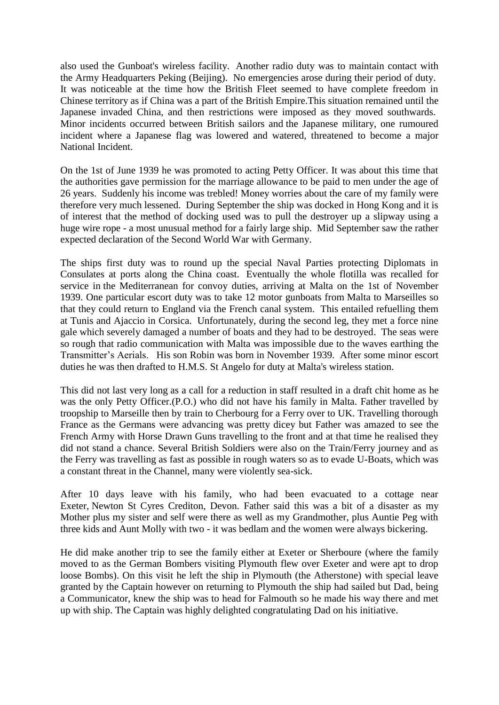also used the Gunboat's wireless facility. Another radio duty was to maintain contact with the Army Headquarters Peking (Beijing). No emergencies arose during their period of duty. It was noticeable at the time how the British Fleet seemed to have complete freedom in Chinese territory as if China was a part of the British Empire.This situation remained until the Japanese invaded China, and then restrictions were imposed as they moved southwards. Minor incidents occurred between British sailors and the Japanese military, one rumoured incident where a Japanese flag was lowered and watered, threatened to become a major National Incident.

On the 1st of June 1939 he was promoted to acting Petty Officer. It was about this time that the authorities gave permission for the marriage allowance to be paid to men under the age of 26 years. Suddenly his income was trebled! Money worries about the care of my family were therefore very much lessened. During September the ship was docked in Hong Kong and it is of interest that the method of docking used was to pull the destroyer up a slipway using a huge wire rope - a most unusual method for a fairly large ship. Mid September saw the rather expected declaration of the Second World War with Germany.

The ships first duty was to round up the special Naval Parties protecting Diplomats in Consulates at ports along the China coast. Eventually the whole flotilla was recalled for service in the Mediterranean for convoy duties, arriving at Malta on the 1st of November 1939. One particular escort duty was to take 12 motor gunboats from Malta to Marseilles so that they could return to England via the French canal system. This entailed refuelling them at Tunis and Ajaccio in Corsica. Unfortunately, during the second leg, they met a force nine gale which severely damaged a number of boats and they had to be destroyed. The seas were so rough that radio communication with Malta was impossible due to the waves earthing the Transmitter's Aerials. His son Robin was born in November 1939. After some minor escort duties he was then drafted to H.M.S. St Angelo for duty at Malta's wireless station.

This did not last very long as a call for a reduction in staff resulted in a draft chit home as he was the only Petty Officer.(P.O.) who did not have his family in Malta. Father travelled by troopship to Marseille then by train to Cherbourg for a Ferry over to UK. Travelling thorough France as the Germans were advancing was pretty dicey but Father was amazed to see the French Army with Horse Drawn Guns travelling to the front and at that time he realised they did not stand a chance. Several British Soldiers were also on the Train/Ferry journey and as the Ferry was travelling as fast as possible in rough waters so as to evade U-Boats, which was a constant threat in the Channel, many were violently sea-sick.

After 10 days leave with his family, who had been evacuated to a cottage near Exeter, Newton St Cyres Crediton, Devon. Father said this was a bit of a disaster as my Mother plus my sister and self were there as well as my Grandmother, plus Auntie Peg with three kids and Aunt Molly with two - it was bedlam and the women were always bickering.

He did make another trip to see the family either at Exeter or Sherboure (where the family moved to as the German Bombers visiting Plymouth flew over Exeter and were apt to drop loose Bombs). On this visit he left the ship in Plymouth (the Atherstone) with special leave granted by the Captain however on returning to Plymouth the ship had sailed but Dad, being a Communicator, knew the ship was to head for Falmouth so he made his way there and met up with ship. The Captain was highly delighted congratulating Dad on his initiative.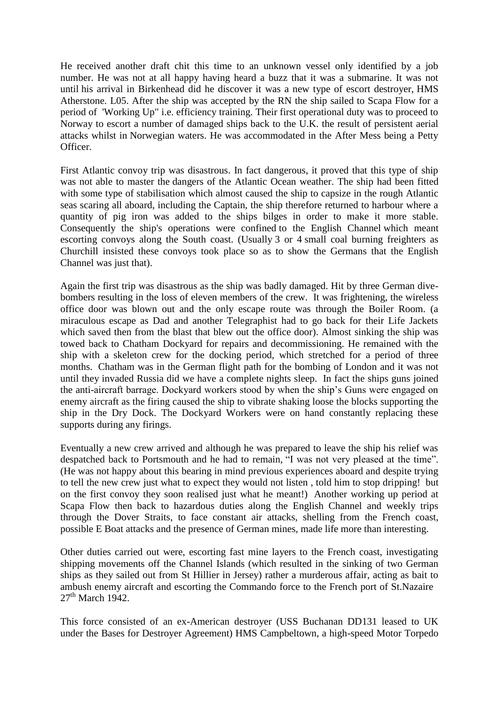He received another draft chit this time to an unknown vessel only identified by a job number. He was not at all happy having heard a buzz that it was a submarine. It was not until his arrival in Birkenhead did he discover it was a new type of escort destroyer, HMS Atherstone. L05. After the ship was accepted by the RN the ship sailed to Scapa Flow for a period of 'Working Up" i.e. efficiency training. Their first operational duty was to proceed to Norway to escort a number of damaged ships back to the U.K. the result of persistent aerial attacks whilst in Norwegian waters. He was accommodated in the After Mess being a Petty Officer.

First Atlantic convoy trip was disastrous. In fact dangerous, it proved that this type of ship was not able to master the dangers of the Atlantic Ocean weather. The ship had been fitted with some type of stabilisation which almost caused the ship to capsize in the rough Atlantic seas scaring all aboard, including the Captain, the ship therefore returned to harbour where a quantity of pig iron was added to the ships bilges in order to make it more stable. Consequently the ship's operations were confined to the English Channel which meant escorting convoys along the South coast. (Usually 3 or 4 small coal burning freighters as Churchill insisted these convoys took place so as to show the Germans that the English Channel was just that).

Again the first trip was disastrous as the ship was badly damaged. Hit by three German divebombers resulting in the loss of eleven members of the crew. It was frightening, the wireless office door was blown out and the only escape route was through the Boiler Room. (a miraculous escape as Dad and another Telegraphist had to go back for their Life Jackets which saved then from the blast that blew out the office door). Almost sinking the ship was towed back to Chatham Dockyard for repairs and decommissioning. He remained with the ship with a skeleton crew for the docking period, which stretched for a period of three months. Chatham was in the German flight path for the bombing of London and it was not until they invaded Russia did we have a complete nights sleep. In fact the ships guns joined the anti-aircraft barrage. Dockyard workers stood by when the ship's Guns were engaged on enemy aircraft as the firing caused the ship to vibrate shaking loose the blocks supporting the ship in the Dry Dock. The Dockyard Workers were on hand constantly replacing these supports during any firings.

Eventually a new crew arrived and although he was prepared to leave the ship his relief was despatched back to Portsmouth and he had to remain, "I was not very pleased at the time". (He was not happy about this bearing in mind previous experiences aboard and despite trying to tell the new crew just what to expect they would not listen , told him to stop dripping! but on the first convoy they soon realised just what he meant!) Another working up period at Scapa Flow then back to hazardous duties along the English Channel and weekly trips through the Dover Straits, to face constant air attacks, shelling from the French coast, possible E Boat attacks and the presence of German mines, made life more than interesting.

Other duties carried out were, escorting fast mine layers to the French coast, investigating shipping movements off the Channel Islands (which resulted in the sinking of two German ships as they sailed out from St Hillier in Jersey) rather a murderous affair, acting as bait to ambush enemy aircraft and escorting the Commando force to the French port of St.Nazaire  $27<sup>th</sup>$  March 1942.

This force consisted of an ex-American destroyer (USS Buchanan DD131 leased to UK under the Bases for Destroyer Agreement) HMS Campbeltown, a high-speed Motor Torpedo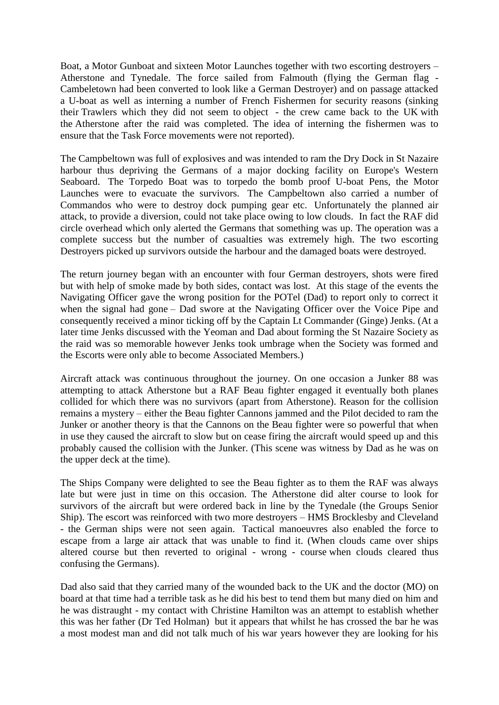Boat, a Motor Gunboat and sixteen Motor Launches together with two escorting destroyers – Atherstone and Tynedale. The force sailed from Falmouth (flying the German flag - Cambeletown had been converted to look like a German Destroyer) and on passage attacked a U-boat as well as interning a number of French Fishermen for security reasons (sinking their Trawlers which they did not seem to object - the crew came back to the UK with the Atherstone after the raid was completed. The idea of interning the fishermen was to ensure that the Task Force movements were not reported).

The Campbeltown was full of explosives and was intended to ram the Dry Dock in St Nazaire harbour thus depriving the Germans of a major docking facility on Europe's Western Seaboard. The Torpedo Boat was to torpedo the bomb proof U-boat Pens, the Motor Launches were to evacuate the survivors. The Campbeltown also carried a number of Commandos who were to destroy dock pumping gear etc. Unfortunately the planned air attack, to provide a diversion, could not take place owing to low clouds. In fact the RAF did circle overhead which only alerted the Germans that something was up. The operation was a complete success but the number of casualties was extremely high. The two escorting Destroyers picked up survivors outside the harbour and the damaged boats were destroyed.

The return journey began with an encounter with four German destroyers, shots were fired but with help of smoke made by both sides, contact was lost. At this stage of the events the Navigating Officer gave the wrong position for the POTel (Dad) to report only to correct it when the signal had gone – Dad swore at the Navigating Officer over the Voice Pipe and consequently received a minor ticking off by the Captain Lt Commander (Ginge) Jenks. (At a later time Jenks discussed with the Yeoman and Dad about forming the St Nazaire Society as the raid was so memorable however Jenks took umbrage when the Society was formed and the Escorts were only able to become Associated Members.)

Aircraft attack was continuous throughout the journey. On one occasion a Junker 88 was attempting to attack Atherstone but a RAF Beau fighter engaged it eventually both planes collided for which there was no survivors (apart from Atherstone). Reason for the collision remains a mystery – either the Beau fighter Cannons jammed and the Pilot decided to ram the Junker or another theory is that the Cannons on the Beau fighter were so powerful that when in use they caused the aircraft to slow but on cease firing the aircraft would speed up and this probably caused the collision with the Junker. (This scene was witness by Dad as he was on the upper deck at the time).

The Ships Company were delighted to see the Beau fighter as to them the RAF was always late but were just in time on this occasion. The Atherstone did alter course to look for survivors of the aircraft but were ordered back in line by the Tynedale (the Groups Senior Ship). The escort was reinforced with two more destroyers – HMS Brocklesby and Cleveland - the German ships were not seen again. Tactical manoeuvres also enabled the force to escape from a large air attack that was unable to find it. (When clouds came over ships altered course but then reverted to original - wrong - course when clouds cleared thus confusing the Germans).

Dad also said that they carried many of the wounded back to the UK and the doctor (MO) on board at that time had a terrible task as he did his best to tend them but many died on him and he was distraught - my contact with Christine Hamilton was an attempt to establish whether this was her father (Dr Ted Holman) but it appears that whilst he has crossed the bar he was a most modest man and did not talk much of his war years however they are looking for his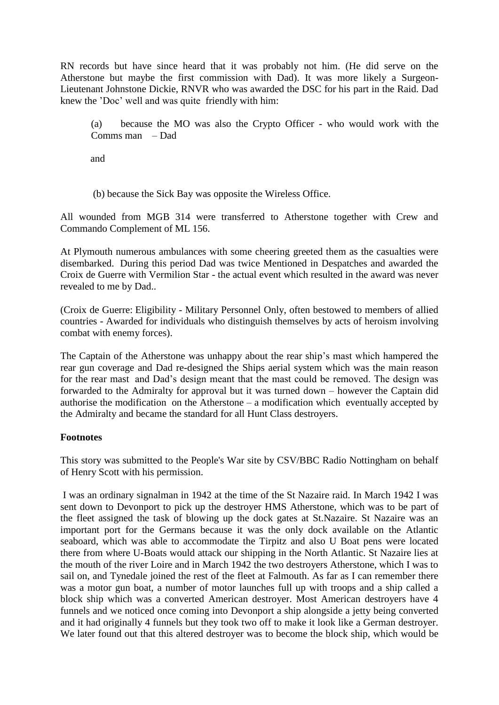RN records but have since heard that it was probably not him. (He did serve on the Atherstone but maybe the first commission with Dad). It was more likely a Surgeon-Lieutenant Johnstone Dickie, RNVR who was awarded the DSC for his part in the Raid. Dad knew the 'Doc' well and was quite friendly with him:

(a) because the MO was also the Crypto Officer - who would work with the Comms man – Dad

and

(b) because the Sick Bay was opposite the Wireless Office.

All wounded from MGB 314 were transferred to Atherstone together with Crew and Commando Complement of ML 156.

At Plymouth numerous ambulances with some cheering greeted them as the casualties were disembarked. During this period Dad was twice Mentioned in Despatches and awarded the Croix de Guerre with Vermilion Star - the actual event which resulted in the award was never revealed to me by Dad..

(Croix de Guerre: Eligibility - Military Personnel Only, often bestowed to members of allied countries - Awarded for individuals who distinguish themselves by acts of heroism involving combat with enemy forces).

The Captain of the Atherstone was unhappy about the rear ship's mast which hampered the rear gun coverage and Dad re-designed the Ships aerial system which was the main reason for the rear mast and Dad's design meant that the mast could be removed. The design was forwarded to the Admiralty for approval but it was turned down – however the Captain did authorise the modification on the Atherstone – a modification which eventually accepted by the Admiralty and became the standard for all Hunt Class destroyers.

#### **Footnotes**

This story was submitted to the People's War site by CSV/BBC Radio Nottingham on behalf of Henry Scott with his permission.

I was an ordinary signalman in 1942 at the time of the St Nazaire raid. In March 1942 I was sent down to Devonport to pick up the destroyer HMS Atherstone, which was to be part of the fleet assigned the task of blowing up the dock gates at St.Nazaire. St Nazaire was an important port for the Germans because it was the only dock available on the Atlantic seaboard, which was able to accommodate the Tirpitz and also U Boat pens were located there from where U-Boats would attack our shipping in the North Atlantic. St Nazaire lies at the mouth of the river Loire and in March 1942 the two destroyers Atherstone, which I was to sail on, and Tynedale joined the rest of the fleet at Falmouth. As far as I can remember there was a motor gun boat, a number of motor launches full up with troops and a ship called a block ship which was a converted American destroyer. Most American destroyers have 4 funnels and we noticed once coming into Devonport a ship alongside a jetty being converted and it had originally 4 funnels but they took two off to make it look like a German destroyer. We later found out that this altered destroyer was to become the block ship, which would be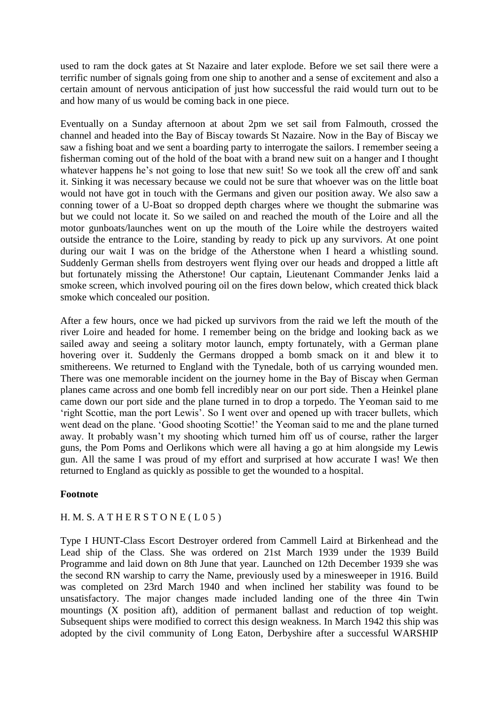used to ram the dock gates at St Nazaire and later explode. Before we set sail there were a terrific number of signals going from one ship to another and a sense of excitement and also a certain amount of nervous anticipation of just how successful the raid would turn out to be and how many of us would be coming back in one piece.

Eventually on a Sunday afternoon at about 2pm we set sail from Falmouth, crossed the channel and headed into the Bay of Biscay towards St Nazaire. Now in the Bay of Biscay we saw a fishing boat and we sent a boarding party to interrogate the sailors. I remember seeing a fisherman coming out of the hold of the boat with a brand new suit on a hanger and I thought whatever happens he's not going to lose that new suit! So we took all the crew off and sank it. Sinking it was necessary because we could not be sure that whoever was on the little boat would not have got in touch with the Germans and given our position away. We also saw a conning tower of a U-Boat so dropped depth charges where we thought the submarine was but we could not locate it. So we sailed on and reached the mouth of the Loire and all the motor gunboats/launches went on up the mouth of the Loire while the destroyers waited outside the entrance to the Loire, standing by ready to pick up any survivors. At one point during our wait I was on the bridge of the Atherstone when I heard a whistling sound. Suddenly German shells from destroyers went flying over our heads and dropped a little aft but fortunately missing the Atherstone! Our captain, Lieutenant Commander Jenks laid a smoke screen, which involved pouring oil on the fires down below, which created thick black smoke which concealed our position.

After a few hours, once we had picked up survivors from the raid we left the mouth of the river Loire and headed for home. I remember being on the bridge and looking back as we sailed away and seeing a solitary motor launch, empty fortunately, with a German plane hovering over it. Suddenly the Germans dropped a bomb smack on it and blew it to smithereens. We returned to England with the Tynedale, both of us carrying wounded men. There was one memorable incident on the journey home in the Bay of Biscay when German planes came across and one bomb fell incredibly near on our port side. Then a Heinkel plane came down our port side and the plane turned in to drop a torpedo. The Yeoman said to me 'right Scottie, man the port Lewis'. So I went over and opened up with tracer bullets, which went dead on the plane. 'Good shooting Scottie!' the Yeoman said to me and the plane turned away. It probably wasn't my shooting which turned him off us of course, rather the larger guns, the Pom Poms and Oerlikons which were all having a go at him alongside my Lewis gun. All the same I was proud of my effort and surprised at how accurate I was! We then returned to England as quickly as possible to get the wounded to a hospital.

#### **Footnote**

#### H. M. S. A THERSTONE ( $L$ 05)

Type I HUNT-Class Escort Destroyer ordered from Cammell Laird at Birkenhead and the Lead ship of the Class. She was ordered on 21st March 1939 under the 1939 Build Programme and laid down on 8th June that year. Launched on 12th December 1939 she was the second RN warship to carry the Name, previously used by a minesweeper in 1916. Build was completed on 23rd March 1940 and when inclined her stability was found to be unsatisfactory. The major changes made included landing one of the three 4in Twin mountings (X position aft), addition of permanent ballast and reduction of top weight. Subsequent ships were modified to correct this design weakness. In March 1942 this ship was adopted by the civil community of Long Eaton, Derbyshire after a successful WARSHIP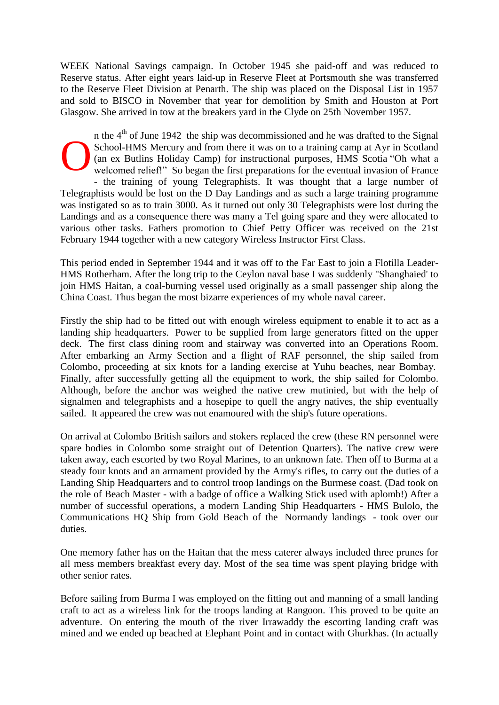WEEK National Savings campaign. In October 1945 she paid-off and was reduced to Reserve status. After eight years laid-up in Reserve Fleet at Portsmouth she was transferred to the Reserve Fleet Division at Penarth. The ship was placed on the Disposal List in 1957 and sold to BISCO in November that year for demolition by Smith and Houston at Port Glasgow. She arrived in tow at the breakers yard in the Clyde on 25th November 1957.

n the  $4<sup>th</sup>$  of June 1942 the ship was decommissioned and he was drafted to the Signal School-HMS Mercury and from there it was on to a training camp at Ayr in Scotland (an ex Butlins Holiday Camp) for instructional purposes, HMS Scotia "Oh what a welcomed relief!" So began the first preparations for the eventual invasion of France - the training of young Telegraphists. It was thought that a large number of Telegraphists would be lost on the D Day Landings and as such a large training programme was instigated so as to train 3000. As it turned out only 30 Telegraphists were lost during the Landings and as a consequence there was many a Tel going spare and they were allocated to various other tasks. Fathers promotion to Chief Petty Officer was received on the 21st February 1944 together with a new category Wireless Instructor First Class. O

This period ended in September 1944 and it was off to the Far East to join a Flotilla Leader-HMS Rotherham. After the long trip to the Ceylon naval base I was suddenly "Shanghaied' to join HMS Haitan, a coal-burning vessel used originally as a small passenger ship along the China Coast. Thus began the most bizarre experiences of my whole naval career.

Firstly the ship had to be fitted out with enough wireless equipment to enable it to act as a landing ship headquarters. Power to be supplied from large generators fitted on the upper deck. The first class dining room and stairway was converted into an Operations Room. After embarking an Army Section and a flight of RAF personnel, the ship sailed from Colombo, proceeding at six knots for a landing exercise at Yuhu beaches, near Bombay. Finally, after successfully getting all the equipment to work, the ship sailed for Colombo. Although, before the anchor was weighed the native crew mutinied, but with the help of signalmen and telegraphists and a hosepipe to quell the angry natives, the ship eventually sailed. It appeared the crew was not enamoured with the ship's future operations.

On arrival at Colombo British sailors and stokers replaced the crew (these RN personnel were spare bodies in Colombo some straight out of Detention Quarters). The native crew were taken away, each escorted by two Royal Marines, to an unknown fate. Then off to Burma at a steady four knots and an armament provided by the Army's rifles, to carry out the duties of a Landing Ship Headquarters and to control troop landings on the Burmese coast. (Dad took on the role of Beach Master - with a badge of office a Walking Stick used with aplomb!) After a number of successful operations, a modern Landing Ship Headquarters - HMS Bulolo, the Communications HQ Ship from Gold Beach of the Normandy landings - took over our duties.

One memory father has on the Haitan that the mess caterer always included three prunes for all mess members breakfast every day. Most of the sea time was spent playing bridge with other senior rates.

Before sailing from Burma I was employed on the fitting out and manning of a small landing craft to act as a wireless link for the troops landing at Rangoon. This proved to be quite an adventure. On entering the mouth of the river Irrawaddy the escorting landing craft was mined and we ended up beached at Elephant Point and in contact with Ghurkhas. (In actually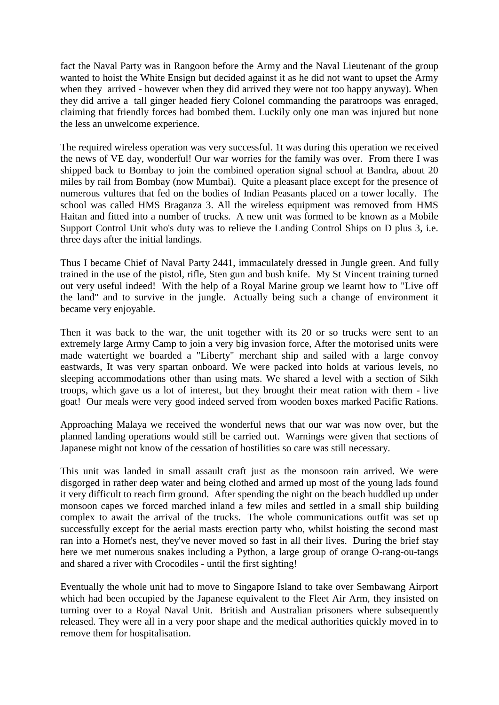fact the Naval Party was in Rangoon before the Army and the Naval Lieutenant of the group wanted to hoist the White Ensign but decided against it as he did not want to upset the Army when they arrived - however when they did arrived they were not too happy anyway). When they did arrive a tall ginger headed fiery Colonel commanding the paratroops was enraged, claiming that friendly forces had bombed them. Luckily only one man was injured but none the less an unwelcome experience.

The required wireless operation was very successful. 1t was during this operation we received the news of VE day, wonderful! Our war worries for the family was over. From there I was shipped back to Bombay to join the combined operation signal school at Bandra, about 20 miles by rail from Bombay (now Mumbai). Quite a pleasant place except for the presence of numerous vultures that fed on the bodies of Indian Peasants placed on a tower locally. The school was called HMS Braganza 3. All the wireless equipment was removed from HMS Haitan and fitted into a number of trucks. A new unit was formed to be known as a Mobile Support Control Unit who's duty was to relieve the Landing Control Ships on D plus 3, i.e. three days after the initial landings.

Thus I became Chief of Naval Party 2441, immaculately dressed in Jungle green. And fully trained in the use of the pistol, rifle, Sten gun and bush knife. My St Vincent training turned out very useful indeed! With the help of a Royal Marine group we learnt how to "Live off the land" and to survive in the jungle. Actually being such a change of environment it became very enjoyable.

Then it was back to the war, the unit together with its 20 or so trucks were sent to an extremely large Army Camp to join a very big invasion force, After the motorised units were made watertight we boarded a "Liberty" merchant ship and sailed with a large convoy eastwards, It was very spartan onboard. We were packed into holds at various levels, no sleeping accommodations other than using mats. We shared a level with a section of Sikh troops, which gave us a lot of interest, but they brought their meat ration with them - live goat! Our meals were very good indeed served from wooden boxes marked Pacific Rations.

Approaching Malaya we received the wonderful news that our war was now over, but the planned landing operations would still be carried out. Warnings were given that sections of Japanese might not know of the cessation of hostilities so care was still necessary.

This unit was landed in small assault craft just as the monsoon rain arrived. We were disgorged in rather deep water and being clothed and armed up most of the young lads found it very difficult to reach firm ground. After spending the night on the beach huddled up under monsoon capes we forced marched inland a few miles and settled in a small ship building complex to await the arrival of the trucks. The whole communications outfit was set up successfully except for the aerial masts erection party who, whilst hoisting the second mast ran into a Hornet's nest, they've never moved so fast in all their lives. During the brief stay here we met numerous snakes including a Python, a large group of orange O-rang-ou-tangs and shared a river with Crocodiles - until the first sighting!

Eventually the whole unit had to move to Singapore Island to take over Sembawang Airport which had been occupied by the Japanese equivalent to the Fleet Air Arm, they insisted on turning over to a Royal Naval Unit. British and Australian prisoners where subsequently released. They were all in a very poor shape and the medical authorities quickly moved in to remove them for hospitalisation.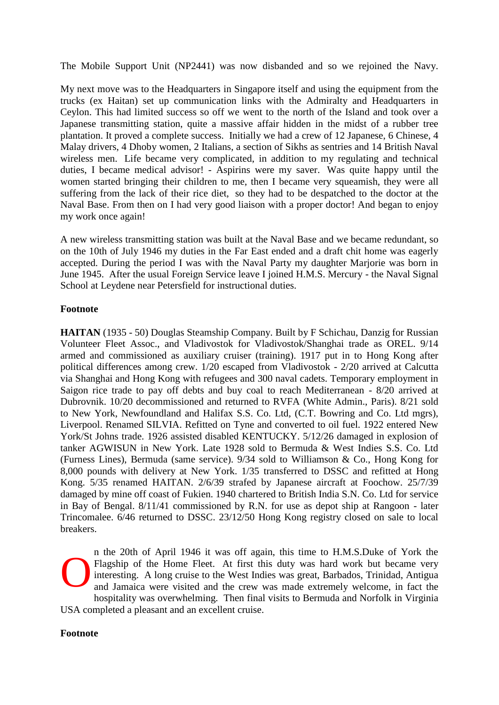The Mobile Support Unit (NP2441) was now disbanded and so we rejoined the Navy.

My next move was to the Headquarters in Singapore itself and using the equipment from the trucks (ex Haitan) set up communication links with the Admiralty and Headquarters in Ceylon. This had limited success so off we went to the north of the Island and took over a Japanese transmitting station, quite a massive affair hidden in the midst of a rubber tree plantation. It proved a complete success. Initially we had a crew of 12 Japanese, 6 Chinese, 4 Malay drivers, 4 Dhoby women, 2 Italians, a section of Sikhs as sentries and 14 British Naval wireless men. Life became very complicated, in addition to my regulating and technical duties, I became medical advisor! - Aspirins were my saver. Was quite happy until the women started bringing their children to me, then I became very squeamish, they were all suffering from the lack of their rice diet, so they had to be despatched to the doctor at the Naval Base. From then on I had very good liaison with a proper doctor! And began to enjoy my work once again!

A new wireless transmitting station was built at the Naval Base and we became redundant, so on the 10th of July 1946 my duties in the Far East ended and a draft chit home was eagerly accepted. During the period I was with the Naval Party my daughter Marjorie was born in June 1945. After the usual Foreign Service leave I joined H.M.S. Mercury - the Naval Signal School at Leydene near Petersfield for instructional duties.

### **Footnote**

**HAITAN** (1935 - 50) Douglas Steamship Company. Built by F Schichau, Danzig for Russian Volunteer Fleet Assoc., and Vladivostok for Vladivostok/Shanghai trade as OREL. 9/14 armed and commissioned as auxiliary cruiser (training). 1917 put in to Hong Kong after political differences among crew. 1/20 escaped from Vladivostok - 2/20 arrived at Calcutta via Shanghai and Hong Kong with refugees and 300 naval cadets. Temporary employment in Saigon rice trade to pay off debts and buy coal to reach Mediterranean - 8/20 arrived at Dubrovnik. 10/20 decommissioned and returned to RVFA (White Admin., Paris). 8/21 sold to New York, Newfoundland and Halifax S.S. Co. Ltd, (C.T. Bowring and Co. Ltd mgrs), Liverpool. Renamed SILVIA. Refitted on Tyne and converted to oil fuel. 1922 entered New York/St Johns trade. 1926 assisted disabled KENTUCKY. 5/12/26 damaged in explosion of tanker AGWISUN in New York. Late 1928 sold to Bermuda & West Indies S.S. Co. Ltd (Furness Lines), Bermuda (same service). 9/34 sold to Williamson & Co., Hong Kong for 8,000 pounds with delivery at New York. 1/35 transferred to DSSC and refitted at Hong Kong. 5/35 renamed HAITAN. 2/6/39 strafed by Japanese aircraft at Foochow. 25/7/39 damaged by mine off coast of Fukien. 1940 chartered to British India S.N. Co. Ltd for service in Bay of Bengal. 8/11/41 commissioned by R.N. for use as depot ship at Rangoon - later Trincomalee. 6/46 returned to DSSC. 23/12/50 Hong Kong registry closed on sale to local breakers.

n the 20th of April 1946 it was off again, this time to H.M.S.Duke of York the Flagship of the Home Fleet. At first this duty was hard work but became very interesting. A long cruise to the West Indies was great, Barbados, Trinidad, Antigua and Jamaica were visited and the crew was made extremely welcome, in fact the hospitality was overwhelming. Then final visits to Bermuda and Norfolk in Virginia USA completed a pleasant and an excellent cruise. O

#### **Footnote**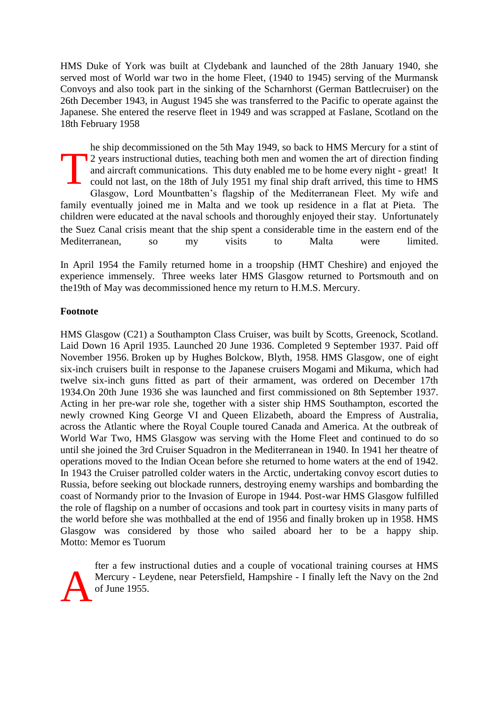HMS Duke of York was built at Clydebank and launched of the 28th January 1940, she served most of World war two in the home Fleet, (1940 to 1945) serving of the Murmansk Convoys and also took part in the sinking of the Scharnhorst (German Battlecruiser) on the 26th December 1943, in August 1945 she was transferred to the Pacific to operate against the Japanese. She entered the reserve fleet in 1949 and was scrapped at Faslane, Scotland on the 18th February 1958

he ship decommissioned on the 5th May 1949, so back to HMS Mercury for a stint of 2 years instructional duties, teaching both men and women the art of direction finding and aircraft communications. This duty enabled me to be home every night - great! It could not last, on the 18th of July 1951 my final ship draft arrived, this time to HMS Glasgow, Lord Mountbatten's flagship of the Mediterranean Fleet. My wife and family eventually joined me in Malta and we took up residence in a flat at Pieta. The children were educated at the naval schools and thoroughly enjoyed their stay. Unfortunately the Suez Canal crisis meant that the ship spent a considerable time in the eastern end of the Mediterranean, so my visits to Malta were limited. T

In April 1954 the Family returned home in a troopship (HMT Cheshire) and enjoyed the experience immensely. Three weeks later HMS Glasgow returned to Portsmouth and on the19th of May was decommissioned hence my return to H.M.S. Mercury.

#### **Footnote**

HMS Glasgow (C21) a Southampton Class Cruiser, was built by Scotts, Greenock, Scotland. Laid Down 16 April 1935. Launched 20 June 1936. Completed 9 September 1937. Paid off November 1956. Broken up by Hughes Bolckow, Blyth, 1958. HMS Glasgow, one of eight six-inch cruisers built in response to the Japanese cruisers Mogami and Mikuma, which had twelve six-inch guns fitted as part of their armament, was ordered on December 17th 1934.On 20th June 1936 she was launched and first commissioned on 8th September 1937. Acting in her pre-war role she, together with a sister ship HMS Southampton, escorted the newly crowned King George VI and Queen Elizabeth, aboard the Empress of Australia, across the Atlantic where the Royal Couple toured Canada and America. At the outbreak of World War Two, HMS Glasgow was serving with the Home Fleet and continued to do so until she joined the 3rd Cruiser Squadron in the Mediterranean in 1940. In 1941 her theatre of operations moved to the Indian Ocean before she returned to home waters at the end of 1942. In 1943 the Cruiser patrolled colder waters in the Arctic, undertaking convoy escort duties to Russia, before seeking out blockade runners, destroying enemy warships and bombarding the coast of Normandy prior to the Invasion of Europe in 1944. Post-war HMS Glasgow fulfilled the role of flagship on a number of occasions and took part in courtesy visits in many parts of the world before she was mothballed at the end of 1956 and finally broken up in 1958. HMS Glasgow was considered by those who sailed aboard her to be a happy ship. Motto: Memor es Tuorum

fter a few instructional duties and a couple of vocational training courses at HMS Mercury - Leydene, near Petersfield, Hampshire - I finally left the Navy on the 2nd of June 1955. A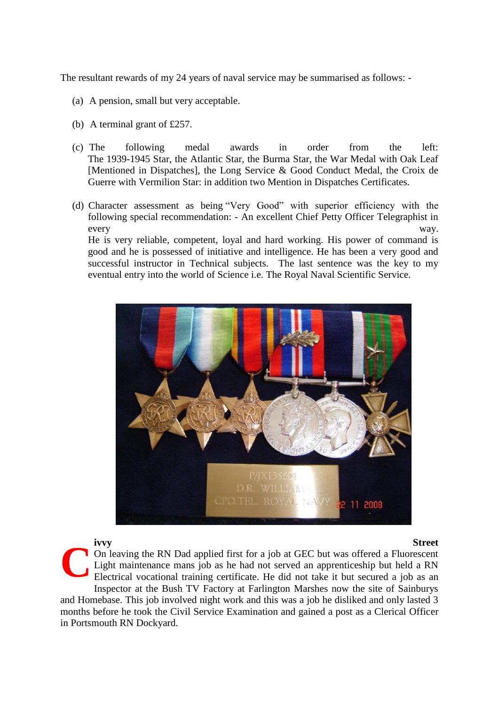The resultant rewards of my 24 years of naval service may be summarised as follows: -

- (a) A pension, small but very acceptable.
- (b) A terminal grant of £257.
- (c) The following medal awards in order from the left: The 1939-1945 Star, the Atlantic Star, the Burma Star, the War Medal with Oak Leaf [Mentioned in Dispatches], the Long Service & Good Conduct Medal, the Croix de Guerre with Vermilion Star: in addition two Mention in Dispatches Certificates.
- (d) Character assessment as being "Very Good" with superior efficiency with the following special recommendation: - An excellent Chief Petty Officer Telegraphist in every way.

He is very reliable, competent, loyal and hard working. His power of command is good and he is possessed of initiative and intelligence. He has been a very good and successful instructor in Technical subjects. The last sentence was the key to my eventual entry into the world of Science i.e. The Royal Naval Scientific Service.



#### **ivvy Street**

On leaving the RN Dad applied first for a job at GEC but was offered a Fluorescent Light maintenance mans job as he had not served an apprenticeship but held a RN Electrical vocational training certificate. He did not take it but secured a job as an Inspector at the Bush TV Factory at Farlington Marshes now the site of Sainburys and Homebase. This job involved night work and this was a job he disliked and only lasted 3 months before he took the Civil Service Examination and gained a post as a Clerical Officer in Portsmouth RN Dockyard. **C**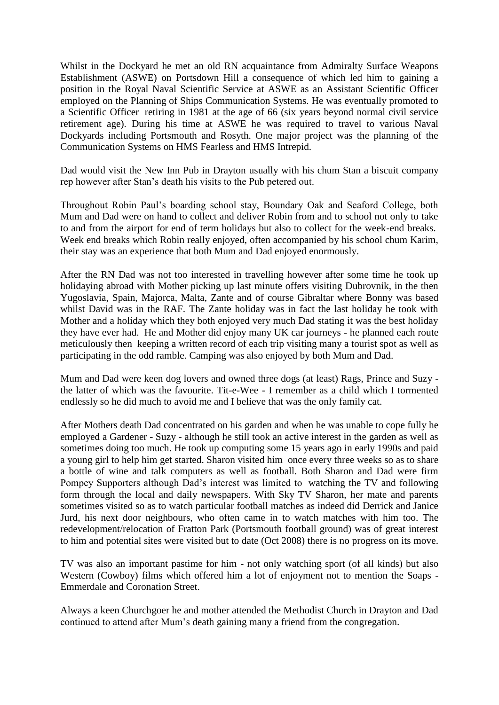Whilst in the Dockyard he met an old RN acquaintance from Admiralty Surface Weapons Establishment (ASWE) on Portsdown Hill a consequence of which led him to gaining a position in the Royal Naval Scientific Service at ASWE as an Assistant Scientific Officer employed on the Planning of Ships Communication Systems. He was eventually promoted to a Scientific Officer retiring in 1981 at the age of 66 (six years beyond normal civil service retirement age). During his time at ASWE he was required to travel to various Naval Dockyards including Portsmouth and Rosyth. One major project was the planning of the Communication Systems on HMS Fearless and HMS Intrepid.

Dad would visit the New Inn Pub in Drayton usually with his chum Stan a biscuit company rep however after Stan's death his visits to the Pub petered out.

Throughout Robin Paul's boarding school stay, Boundary Oak and Seaford College, both Mum and Dad were on hand to collect and deliver Robin from and to school not only to take to and from the airport for end of term holidays but also to collect for the week-end breaks. Week end breaks which Robin really enjoyed, often accompanied by his school chum Karim, their stay was an experience that both Mum and Dad enjoyed enormously.

After the RN Dad was not too interested in travelling however after some time he took up holidaying abroad with Mother picking up last minute offers visiting Dubrovnik, in the then Yugoslavia, Spain, Majorca, Malta, Zante and of course Gibraltar where Bonny was based whilst David was in the RAF. The Zante holiday was in fact the last holiday he took with Mother and a holiday which they both enjoyed very much Dad stating it was the best holiday they have ever had. He and Mother did enjoy many UK car journeys - he planned each route meticulously then keeping a written record of each trip visiting many a tourist spot as well as participating in the odd ramble. Camping was also enjoyed by both Mum and Dad.

Mum and Dad were keen dog lovers and owned three dogs (at least) Rags, Prince and Suzy the latter of which was the favourite. Tit-e-Wee - I remember as a child which I tormented endlessly so he did much to avoid me and I believe that was the only family cat.

After Mothers death Dad concentrated on his garden and when he was unable to cope fully he employed a Gardener - Suzy - although he still took an active interest in the garden as well as sometimes doing too much. He took up computing some 15 years ago in early 1990s and paid a young girl to help him get started. Sharon visited him once every three weeks so as to share a bottle of wine and talk computers as well as football. Both Sharon and Dad were firm Pompey Supporters although Dad's interest was limited to watching the TV and following form through the local and daily newspapers. With Sky TV Sharon, her mate and parents sometimes visited so as to watch particular football matches as indeed did Derrick and Janice Jurd, his next door neighbours, who often came in to watch matches with him too. The redevelopment/relocation of Fratton Park (Portsmouth football ground) was of great interest to him and potential sites were visited but to date (Oct 2008) there is no progress on its move.

TV was also an important pastime for him - not only watching sport (of all kinds) but also Western (Cowboy) films which offered him a lot of enjoyment not to mention the Soaps - Emmerdale and Coronation Street.

Always a keen Churchgoer he and mother attended the Methodist Church in Drayton and Dad continued to attend after Mum's death gaining many a friend from the congregation.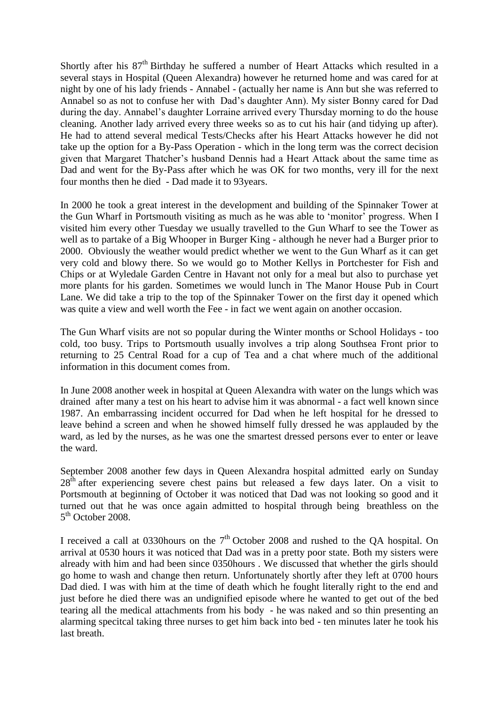Shortly after his  $87<sup>th</sup>$  Birthday he suffered a number of Heart Attacks which resulted in a several stays in Hospital (Queen Alexandra) however he returned home and was cared for at night by one of his lady friends - Annabel - (actually her name is Ann but she was referred to Annabel so as not to confuse her with Dad's daughter Ann). My sister Bonny cared for Dad during the day. Annabel's daughter Lorraine arrived every Thursday morning to do the house cleaning. Another lady arrived every three weeks so as to cut his hair (and tidying up after). He had to attend several medical Tests/Checks after his Heart Attacks however he did not take up the option for a By-Pass Operation - which in the long term was the correct decision given that Margaret Thatcher's husband Dennis had a Heart Attack about the same time as Dad and went for the By-Pass after which he was OK for two months, very ill for the next four months then he died - Dad made it to 93years.

In 2000 he took a great interest in the development and building of the Spinnaker Tower at the Gun Wharf in Portsmouth visiting as much as he was able to 'monitor' progress. When I visited him every other Tuesday we usually travelled to the Gun Wharf to see the Tower as well as to partake of a Big Whooper in Burger King - although he never had a Burger prior to 2000. Obviously the weather would predict whether we went to the Gun Wharf as it can get very cold and blowy there. So we would go to Mother Kellys in Portchester for Fish and Chips or at Wyledale Garden Centre in Havant not only for a meal but also to purchase yet more plants for his garden. Sometimes we would lunch in The Manor House Pub in Court Lane. We did take a trip to the top of the Spinnaker Tower on the first day it opened which was quite a view and well worth the Fee - in fact we went again on another occasion.

The Gun Wharf visits are not so popular during the Winter months or School Holidays - too cold, too busy. Trips to Portsmouth usually involves a trip along Southsea Front prior to returning to 25 Central Road for a cup of Tea and a chat where much of the additional information in this document comes from.

In June 2008 another week in hospital at Queen Alexandra with water on the lungs which was drained after many a test on his heart to advise him it was abnormal - a fact well known since 1987. An embarrassing incident occurred for Dad when he left hospital for he dressed to leave behind a screen and when he showed himself fully dressed he was applauded by the ward, as led by the nurses, as he was one the smartest dressed persons ever to enter or leave the ward.

September 2008 another few days in Queen Alexandra hospital admitted early on Sunday  $28<sup>th</sup>$  after experiencing severe chest pains but released a few days later. On a visit to Portsmouth at beginning of October it was noticed that Dad was not looking so good and it turned out that he was once again admitted to hospital through being breathless on the 5<sup>th</sup> October 2008.

I received a call at 0330 hours on the 7<sup>th</sup> October 2008 and rushed to the QA hospital. On arrival at 0530 hours it was noticed that Dad was in a pretty poor state. Both my sisters were already with him and had been since 0350hours . We discussed that whether the girls should go home to wash and change then return. Unfortunately shortly after they left at 0700 hours Dad died. I was with him at the time of death which he fought literally right to the end and just before he died there was an undignified episode where he wanted to get out of the bed tearing all the medical attachments from his body - he was naked and so thin presenting an alarming specitcal taking three nurses to get him back into bed - ten minutes later he took his last breath.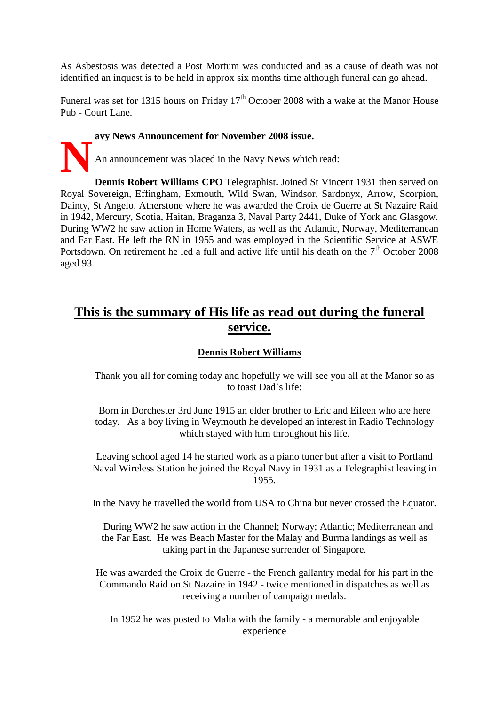As Asbestosis was detected a Post Mortum was conducted and as a cause of death was not identified an inquest is to be held in approx six months time although funeral can go ahead.

Funeral was set for 1315 hours on Friday  $17<sup>th</sup>$  October 2008 with a wake at the Manor House Pub - Court Lane.

**avy News Announcement for November 2008 issue. N**

An announcement was placed in the Navy News which read:

**Dennis Robert Williams CPO** Telegraphist**.** Joined St Vincent 1931 then served on Royal Sovereign, Effingham, Exmouth, Wild Swan, Windsor, Sardonyx, Arrow, Scorpion, Dainty, St Angelo, Atherstone where he was awarded the Croix de Guerre at St Nazaire Raid in 1942, Mercury, Scotia, Haitan, Braganza 3, Naval Party 2441, Duke of York and Glasgow. During WW2 he saw action in Home Waters, as well as the Atlantic, Norway, Mediterranean and Far East. He left the RN in 1955 and was employed in the Scientific Service at ASWE Portsdown. On retirement he led a full and active life until his death on the  $7<sup>th</sup>$  October 2008 aged 93.

## **This is the summary of His life as read out during the funeral service.**

## **Dennis Robert Williams**

Thank you all for coming today and hopefully we will see you all at the Manor so as to toast Dad's life:

Born in Dorchester 3rd June 1915 an elder brother to Eric and Eileen who are here today. As a boy living in Weymouth he developed an interest in Radio Technology which stayed with him throughout his life.

Leaving school aged 14 he started work as a piano tuner but after a visit to Portland Naval Wireless Station he joined the Royal Navy in 1931 as a Telegraphist leaving in 1955.

In the Navy he travelled the world from USA to China but never crossed the Equator.

 During WW2 he saw action in the Channel; Norway; Atlantic; Mediterranean and the Far East. He was Beach Master for the Malay and Burma landings as well as taking part in the Japanese surrender of Singapore.

He was awarded the Croix de Guerre - the French gallantry medal for his part in the Commando Raid on St Nazaire in 1942 - twice mentioned in dispatches as well as receiving a number of campaign medals.

In 1952 he was posted to Malta with the family - a memorable and enjoyable experience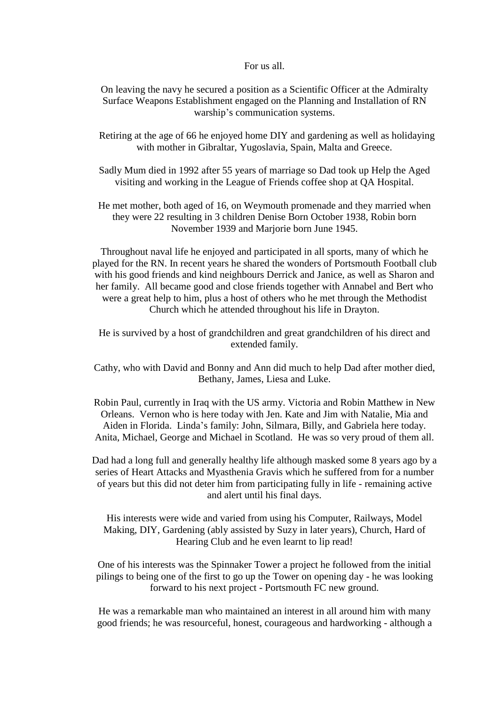#### For us all.

On leaving the navy he secured a position as a Scientific Officer at the Admiralty Surface Weapons Establishment engaged on the Planning and Installation of RN warship's communication systems.

Retiring at the age of 66 he enjoyed home DIY and gardening as well as holidaying with mother in Gibraltar, Yugoslavia, Spain, Malta and Greece.

Sadly Mum died in 1992 after 55 years of marriage so Dad took up Help the Aged visiting and working in the League of Friends coffee shop at QA Hospital.

He met mother, both aged of 16, on Weymouth promenade and they married when they were 22 resulting in 3 children Denise Born October 1938, Robin born November 1939 and Marjorie born June 1945.

Throughout naval life he enjoyed and participated in all sports, many of which he played for the RN. In recent years he shared the wonders of Portsmouth Football club with his good friends and kind neighbours Derrick and Janice, as well as Sharon and her family. All became good and close friends together with Annabel and Bert who were a great help to him, plus a host of others who he met through the Methodist Church which he attended throughout his life in Drayton.

He is survived by a host of grandchildren and great grandchildren of his direct and extended family.

Cathy, who with David and Bonny and Ann did much to help Dad after mother died, Bethany, James, Liesa and Luke.

Robin Paul, currently in Iraq with the US army. Victoria and Robin Matthew in New Orleans. Vernon who is here today with Jen. Kate and Jim with Natalie, Mia and Aiden in Florida. Linda's family: John, Silmara, Billy, and Gabriela here today. Anita, Michael, George and Michael in Scotland. He was so very proud of them all.

Dad had a long full and generally healthy life although masked some 8 years ago by a series of Heart Attacks and Myasthenia Gravis which he suffered from for a number of years but this did not deter him from participating fully in life - remaining active and alert until his final days.

His interests were wide and varied from using his Computer, Railways, Model Making, DIY, Gardening (ably assisted by Suzy in later years), Church, Hard of Hearing Club and he even learnt to lip read!

One of his interests was the Spinnaker Tower a project he followed from the initial pilings to being one of the first to go up the Tower on opening day - he was looking forward to his next project - Portsmouth FC new ground.

He was a remarkable man who maintained an interest in all around him with many good friends; he was resourceful, honest, courageous and hardworking - although a